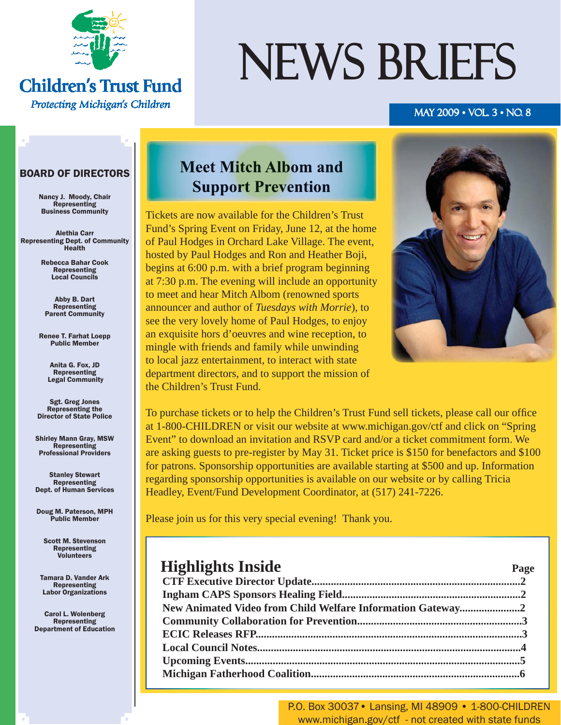

#### **Children's Trust Fund** Protecting Michigan's Children

# NEWS BRIEFS

#### MAY 2009 • VOL. 3 • NO. 8

#### BOARD OF DIRECTORS

Nancy J. Moody, Chair Representing Business Community

Alethia Carr Representing Dept. of Community Health

> Rebecca Bahar Cook Representing Local Councils

Abby B. Dart Representing Parent Community

Renee T. Farhat Loepp Public Member

> Anita G. Fox, JD Representing Legal Community

Sgt. Greg Jones Representing the Director of State Police

Shirley Mann Gray, MSW Representing Professional Providers

Stanley Stewart Representing Dept. of Human Services

Doug M. Paterson, MPH Public Member

Scott M. Stevenson Representing Volunteers

Tamara D. Vander Ark Representing Labor Organizations

Carol L. Wolenberg Representing Department of Education

#### **Meet Mitch Albom and Support Prevention**

Tickets are now available for the Children's Trust Fund's Spring Event on Friday, June 12, at the home of Paul Hodges in Orchard Lake Village. The event, hosted by Paul Hodges and Ron and Heather Boji, begins at 6:00 p.m. with a brief program beginning at 7:30 p.m. The evening will include an opportunity to meet and hear Mitch Albom (renowned sports announcer and author of *Tuesdays with Morrie*), to see the very lovely home of Paul Hodges, to enjoy an exquisite hors d'oeuvres and wine reception, to mingle with friends and family while unwinding to local jazz entertainment, to interact with state department directors, and to support the mission of the Children's Trust Fund.



To purchase tickets or to help the Children's Trust Fund sell tickets, please call our office at 1-800-CHILDREN or visit our website at www.michigan.gov/ctf and click on "Spring Event" to download an invitation and RSVP card and/or a ticket commitment form. We are asking guests to pre-register by May 31. Ticket price is \$150 for benefactors and \$100 for patrons. Sponsorship opportunities are available starting at \$500 and up. Information regarding sponsorship opportunities is available on our website or by calling Tricia Headley, Event/Fund Development Coordinator, at (517) 241-7226.

Please join us for this very special evening! Thank you.

#### **Highlights Inside Page**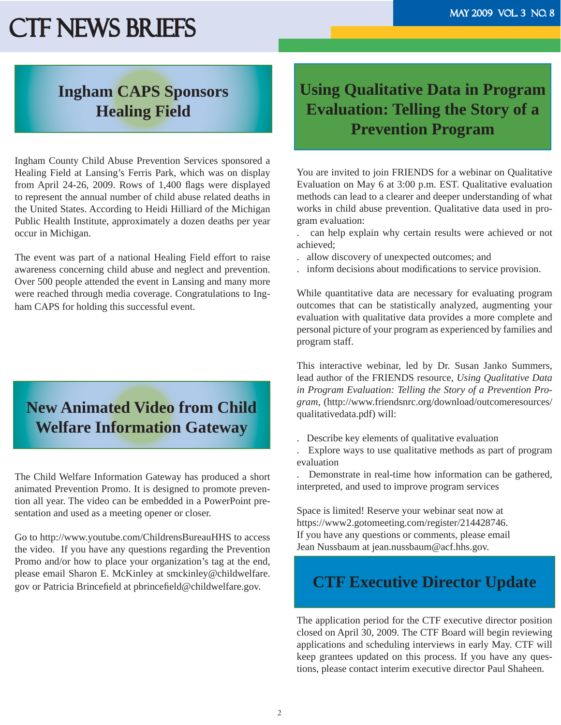#### **Ingham CAPS Sponsors Healing Field**

Ingham County Child Abuse Prevention Services sponsored a Healing Field at Lansing's Ferris Park, which was on display from April 24-26, 2009. Rows of  $1,400$  flags were displayed to represent the annual number of child abuse related deaths in the United States. According to Heidi Hilliard of the Michigan Public Health Institute, approximately a dozen deaths per year occur in Michigan.

The event was part of a national Healing Field effort to raise awareness concerning child abuse and neglect and prevention. Over 500 people attended the event in Lansing and many more were reached through media coverage. Congratulations to Ingham CAPS for holding this successful event.

## **New Animated Video from Child Welfare Information Gateway**

The Child Welfare Information Gateway has produced a short animated Prevention Promo. It is designed to promote prevention all year. The video can be embedded in a PowerPoint presentation and used as a meeting opener or closer.

Go to http://www.youtube.com/ChildrensBureauHHS to access the video. If you have any questions regarding the Prevention Promo and/or how to place your organization's tag at the end, please email Sharon E. McKinley at smckinley@childwelfare. gov or Patricia Brincefield at pbrincefield@childwelfare.gov.

### **Using Qualitative Data in Program Evaluation: Telling the Story of a Prevention Program**

You are invited to join FRIENDS for a webinar on Qualitative Evaluation on May 6 at 3:00 p.m. EST. Qualitative evaluation methods can lead to a clearer and deeper understanding of what works in child abuse prevention. Qualitative data used in program evaluation:

. can help explain why certain results were achieved or not achieved;

. allow discovery of unexpected outcomes; and

inform decisions about modifications to service provision.

While quantitative data are necessary for evaluating program outcomes that can be statistically analyzed, augmenting your evaluation with qualitative data provides a more complete and personal picture of your program as experienced by families and program staff.

This interactive webinar, led by Dr. Susan Janko Summers, lead author of the FRIENDS resource, *Using Qualitative Data in Program Evaluation: Telling the Story of a Prevention Program*, (http://www.friendsnrc.org/download/outcomeresources/ qualitativedata.pdf) will:

- . Describe key elements of qualitative evaluation
- . Explore ways to use qualitative methods as part of program evaluation

. Demonstrate in real-time how information can be gathered, interpreted, and used to improve program services

Space is limited! Reserve your webinar seat now at https://www2.gotomeeting.com/register/214428746. If you have any questions or comments, please email Jean Nussbaum at jean.nussbaum@acf.hhs.gov.

#### **CTF Executive Director Update**

The application period for the CTF executive director position closed on April 30, 2009. The CTF Board will begin reviewing applications and scheduling interviews in early May. CTF will keep grantees updated on this process. If you have any questions, please contact interim executive director Paul Shaheen.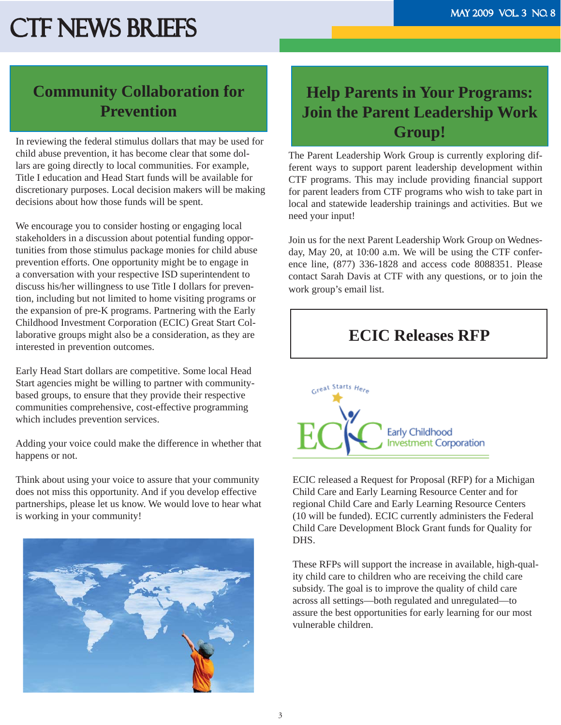## **Community Collaboration for Prevention**

In reviewing the federal stimulus dollars that may be used for child abuse prevention, it has become clear that some dollars are going directly to local communities. For example, Title I education and Head Start funds will be available for discretionary purposes. Local decision makers will be making decisions about how those funds will be spent.

We encourage you to consider hosting or engaging local stakeholders in a discussion about potential funding opportunities from those stimulus package monies for child abuse prevention efforts. One opportunity might be to engage in a conversation with your respective ISD superintendent to discuss his/her willingness to use Title I dollars for prevention, including but not limited to home visiting programs or the expansion of pre-K programs. Partnering with the Early Childhood Investment Corporation (ECIC) Great Start Collaborative groups might also be a consideration, as they are interested in prevention outcomes.

Early Head Start dollars are competitive. Some local Head Start agencies might be willing to partner with communitybased groups, to ensure that they provide their respective communities comprehensive, cost-effective programming which includes prevention services.

Adding your voice could make the difference in whether that happens or not.

Think about using your voice to assure that your community does not miss this opportunity. And if you develop effective partnerships, please let us know. We would love to hear what is working in your community!



## **Help Parents in Your Programs: Join the Parent Leadership Work Group!**

The Parent Leadership Work Group is currently exploring different ways to support parent leadership development within CTF programs. This may include providing financial support for parent leaders from CTF programs who wish to take part in local and statewide leadership trainings and activities. But we need your input!

Join us for the next Parent Leadership Work Group on Wednesday, May 20, at 10:00 a.m. We will be using the CTF conference line, (877) 336-1828 and access code 8088351. Please contact Sarah Davis at CTF with any questions, or to join the work group's email list.

#### **ECIC Releases RFP**



ECIC released a Request for Proposal (RFP) for a Michigan Child Care and Early Learning Resource Center and for regional Child Care and Early Learning Resource Centers (10 will be funded). ECIC currently administers the Federal Child Care Development Block Grant funds for Quality for DHS.

These RFPs will support the increase in available, high-quality child care to children who are receiving the child care subsidy. The goal is to improve the quality of child care across all settings—both regulated and unregulated—to assure the best opportunities for early learning for our most vulnerable children.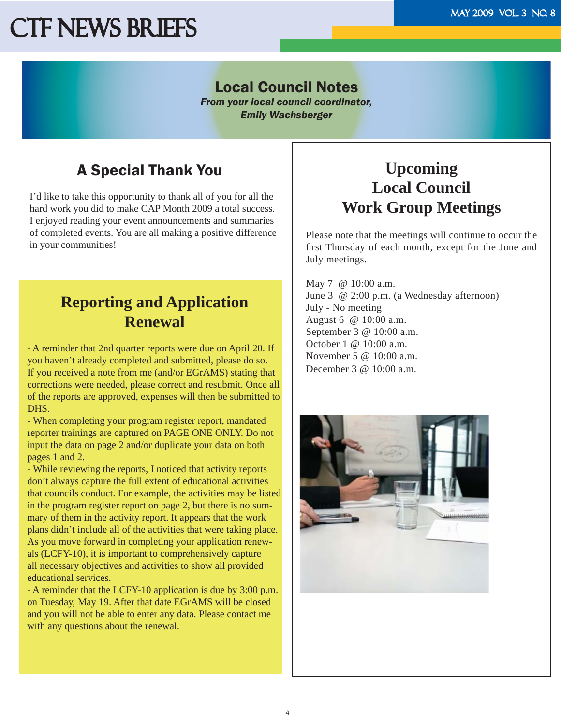#### Local Council Notes

*From your local council coordinator, Emily Wachsberger*

## A Special Thank You

I'd like to take this opportunity to thank all of you for all the hard work you did to make CAP Month 2009 a total success. I enjoyed reading your event announcements and summaries of completed events. You are all making a positive difference in your communities!

### **Reporting and Application Renewal**

- A reminder that 2nd quarter reports were due on April 20. If you haven't already completed and submitted, please do so. If you received a note from me (and/or EGrAMS) stating that corrections were needed, please correct and resubmit. Once all of the reports are approved, expenses will then be submitted to DHS.

- When completing your program register report, mandated reporter trainings are captured on PAGE ONE ONLY. Do not input the data on page 2 and/or duplicate your data on both pages 1 and 2.

- While reviewing the reports, I noticed that activity reports don't always capture the full extent of educational activities that councils conduct. For example, the activities may be listed in the program register report on page 2, but there is no summary of them in the activity report. It appears that the work plans didn't include all of the activities that were taking place. As you move forward in completing your application renewals (LCFY-10), it is important to comprehensively capture all necessary objectives and activities to show all provided educational services.

- A reminder that the LCFY-10 application is due by 3:00 p.m. on Tuesday, May 19. After that date EGrAMS will be closed and you will not be able to enter any data. Please contact me with any questions about the renewal.

#### **Upcoming Local Council Work Group Meetings**

Please note that the meetings will continue to occur the first Thursday of each month, except for the June and July meetings.

May 7 @ 10:00 a.m. June 3 @ 2:00 p.m. (a Wednesday afternoon) July - No meeting August 6 @ 10:00 a.m. September 3 @ 10:00 a.m. October 1 @ 10:00 a.m. November 5 @ 10:00 a.m. December 3 @ 10:00 a.m.

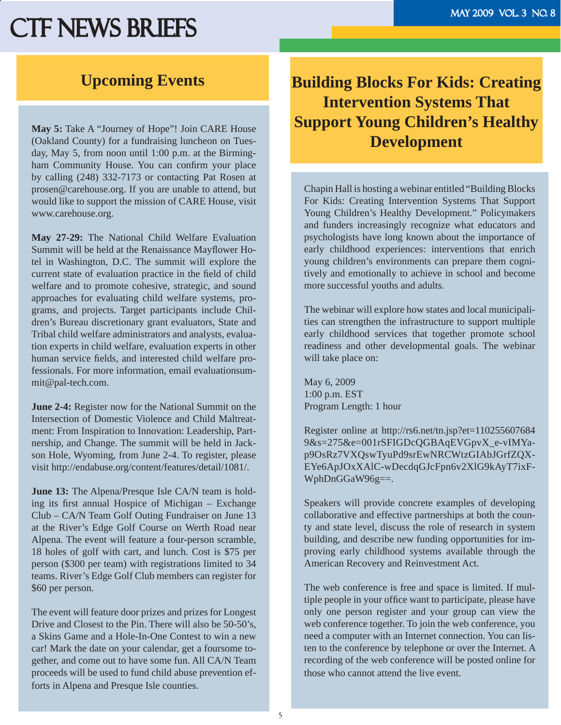#### **Upcoming Events**

**May 5:** Take A "Journey of Hope"! Join CARE House (Oakland County) for a fundraising luncheon on Tuesday, May 5, from noon until 1:00 p.m. at the Birmingham Community House. You can confirm your place by calling (248) 332-7173 or contacting Pat Rosen at prosen@carehouse.org. If you are unable to attend, but would like to support the mission of CARE House, visit www.carehouse.org.

**May 27-29:** The National Child Welfare Evaluation Summit will be held at the Renaissance Mayflower Hotel in Washington, D.C. The summit will explore the current state of evaluation practice in the field of child welfare and to promote cohesive, strategic, and sound approaches for evaluating child welfare systems, programs, and projects. Target participants include Children's Bureau discretionary grant evaluators, State and Tribal child welfare administrators and analysts, evaluation experts in child welfare, evaluation experts in other human service fields, and interested child welfare professionals. For more information, email evaluationsummit@pal-tech.com.

**June 2-4:** Register now for the National Summit on the Intersection of Domestic Violence and Child Maltreatment: From Inspiration to Innovation: Leadership, Partnership, and Change. The summit will be held in Jackson Hole, Wyoming, from June 2-4. To register, please visit http://endabuse.org/content/features/detail/1081/.

**June 13:** The Alpena/Presque Isle CA/N team is holding its first annual Hospice of Michigan – Exchange Club – CA/N Team Golf Outing Fundraiser on June 13 at the River's Edge Golf Course on Werth Road near Alpena. The event will feature a four-person scramble, 18 holes of golf with cart, and lunch. Cost is \$75 per person (\$300 per team) with registrations limited to 34 teams. River's Edge Golf Club members can register for \$60 per person.

The event will feature door prizes and prizes for Longest Drive and Closest to the Pin. There will also be 50-50's, a Skins Game and a Hole-In-One Contest to win a new car! Mark the date on your calendar, get a foursome together, and come out to have some fun. All CA/N Team proceeds will be used to fund child abuse prevention efforts in Alpena and Presque Isle counties.

#### **Building Blocks For Kids: Creating Intervention Systems That Support Young Children's Healthy Development**

Chapin Hall is hosting a webinar entitled "Building Blocks For Kids: Creating Intervention Systems That Support Young Children's Healthy Development." Policymakers and funders increasingly recognize what educators and psychologists have long known about the importance of early childhood experiences: interventions that enrich young children's environments can prepare them cognitively and emotionally to achieve in school and become more successful youths and adults.

The webinar will explore how states and local municipalities can strengthen the infrastructure to support multiple early childhood services that together promote school readiness and other developmental goals. The webinar will take place on:

May 6, 2009 1:00 p.m. EST Program Length: 1 hour

Register online at http://rs6.net/tn.jsp?et=110255607684 9&s=275&e=001rSFIGDcQGBAqEVGpvX\_e-vIMYap9OsRz7VXQswTyuPd9srEwNRCWtzGIAbJGrfZQX-EYe6ApJOxXAlC-wDecdqGJcFpn6v2XlG9kAyT7ixF-WphDnGGaW96g==.

Speakers will provide concrete examples of developing collaborative and effective partnerships at both the county and state level, discuss the role of research in system building, and describe new funding opportunities for improving early childhood systems available through the American Recovery and Reinvestment Act.

The web conference is free and space is limited. If multiple people in your office want to participate, please have only one person register and your group can view the web conference together. To join the web conference, you need a computer with an Internet connection. You can listen to the conference by telephone or over the Internet. A recording of the web conference will be posted online for those who cannot attend the live event.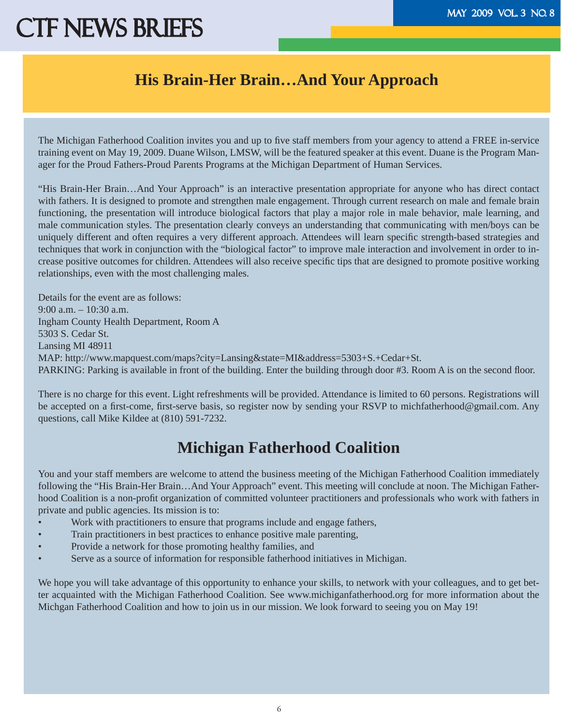#### **His Brain-Her Brain…And Your Approach**

The Michigan Fatherhood Coalition invites you and up to five staff members from your agency to attend a FREE in-service training event on May 19, 2009. Duane Wilson, LMSW, will be the featured speaker at this event. Duane is the Program Manager for the Proud Fathers-Proud Parents Programs at the Michigan Department of Human Services.

"His Brain-Her Brain…And Your Approach" is an interactive presentation appropriate for anyone who has direct contact with fathers. It is designed to promote and strengthen male engagement. Through current research on male and female brain functioning, the presentation will introduce biological factors that play a major role in male behavior, male learning, and male communication styles. The presentation clearly conveys an understanding that communicating with men/boys can be uniquely different and often requires a very different approach. Attendees will learn specific strength-based strategies and techniques that work in conjunction with the "biological factor" to improve male interaction and involvement in order to increase positive outcomes for children. Attendees will also receive specific tips that are designed to promote positive working relationships, even with the most challenging males.

Details for the event are as follows: 9:00 a.m. – 10:30 a.m. Ingham County Health Department, Room A 5303 S. Cedar St. Lansing MI 48911 MAP: http://www.mapquest.com/maps?city=Lansing&state=MI&address=5303+S.+Cedar+St. PARKING: Parking is available in front of the building. Enter the building through door #3. Room A is on the second floor.

There is no charge for this event. Light refreshments will be provided. Attendance is limited to 60 persons. Registrations will be accepted on a first-come, first-serve basis, so register now by sending your RSVP to michfatherhood@gmail.com. Any questions, call Mike Kildee at (810) 591-7232.

### **Michigan Fatherhood Coalition**

You and your staff members are welcome to attend the business meeting of the Michigan Fatherhood Coalition immediately following the "His Brain-Her Brain…And Your Approach" event. This meeting will conclude at noon. The Michigan Fatherhood Coalition is a non-profit organization of committed volunteer practitioners and professionals who work with fathers in private and public agencies. Its mission is to:

- Work with practitioners to ensure that programs include and engage fathers,
- Train practitioners in best practices to enhance positive male parenting,
- Provide a network for those promoting healthy families, and
- Serve as a source of information for responsible fatherhood initiatives in Michigan.

We hope you will take advantage of this opportunity to enhance your skills, to network with your colleagues, and to get better acquainted with the Michigan Fatherhood Coalition. See www.michiganfatherhood.org for more information about the Michgan Fatherhood Coalition and how to join us in our mission. We look forward to seeing you on May 19!